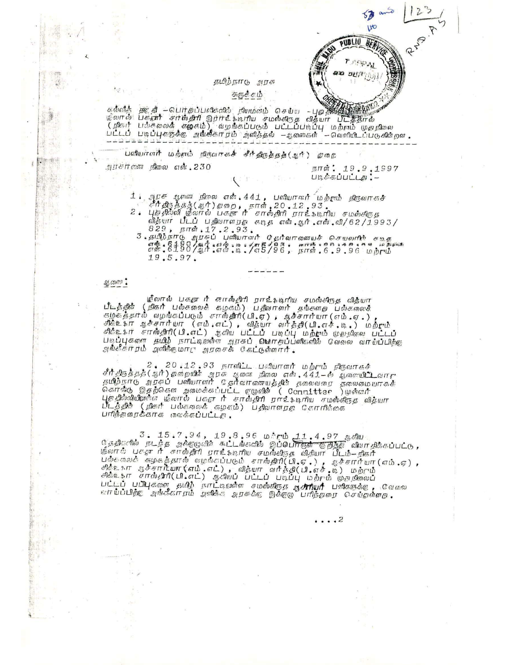தமிந்நாடு அரசு

## சுருக்கம்

கல்லித் தூரத் – பொதப்பலிகளில் நியமன்ம் செய்ய – புத்திணையில் பெருந்து<br>மீலால் பக்<del>தார்</del> சார்வைகளி இந்ருட்டிரிய சமஸ்கிருத விதயா பிடத்திரல்<br>(நிகர் பல்கலைக் கூழகைம்) வழங்கப்படும் பட்டப்படிப்பு மற்றும் முதறிலை<br>பட்டப் படிப்புகது

பலியாளர் மற்றும் நிருவாகச் சீர்திருத்தத்(ஆர்) துறை

அரசர்கள நிலை எல். 230

நாள்: 19.9,1997 படிக்கப்பட்டத : -

LIO  $B_{F}$ 

 $PUBLIO$ 

מנפ  $3211$ 

- 
- 1) அரசு ஆலணை நிலை என்.441, படியொனர் மற்றும் நிருவாகச்<br>- "சீர்திர்த்தத்(ஆர்)தறை, நாள்,20.12.93.<br>2. புத்தில்லி மீலால் பகதா ரீ சாஸ்திரி ராட்கேடிரிய சமஸ்கிரதே<br>- வீத்யா பிடப் பதிவாளரத கேடிதே எஸ்.ஆர்.எஸ்.வி/62/1993/
	- ip dipuit 19.5.97.

## ஆതത് :

ழீலால் பகுதா ரீ சாரஸ்திரி நாட்கேடிரிய சமஸ்கிரதே விதீயா பீடத்தின் (நிகர் பல்கலைச் கழகம்) பதிலாளர் தங்களத பல்கலைச் படத்து (நானை பல்கலைக் கழகம்) பதாலாளா தாக்காத பல்கலைசை<br>கழகத்தால் வழங்கப்படும் சாஸ்திரி(பி.ஏ) , ஆச்சார்யா (எம்.ஏ.) ,<br>சிக்உ\$ா ஆச்சார்யா (எம்.எட்) , வித்யா வர்த்தி(பி.எச்.டி.) மற்ரும்<br>சிக்உ\$ா சாஸ்திரி(பி.எட்) ஆகிய பட்டப் படிப

2 , 20 ,12 ,93 நாளிட்ட பனியாளர் மற்றும் நிருவாகச்<br>திமீதிநக்குத்(ஆர்) தமையில் அரசு ஆணை நிலை என் ,441—ல் ஆணையிடு வாரு<br>ஒழுந்தாடு அரசுப் பணியாளர் தேர்வாகணயத்தில் தலைவரை தலைமையாகக்<br>எனர்ஸ் இதற்கென அமைக்கப்பட்ட நாக்கின் என வெளிய .<br>புத்தில்லியில்னை மீலால் பகூசா ரீ சாஸ்திரி நாட்டியிய சமஸ்கிரதே வித்யா<br>பீடத்தின் (நிகர் பல்கலைக் கழகம்) பதிவாளநாத கோரிக்கை பரிந்துரைக்காக மாவக்கப்பட்டத.

் 3. 15.7.94, 19.8.96 மீரும் 11.4.97 ஆகிய<br>நீததிகளில் நடந்த அக்குழேவிச் கட்டங்களில் இப்பொருள் இந்தி விவாசிக்கப்பட்டு,<br>மீலாக் புகுசு ரீ சாஸ்திரி ராட்ஷேனிய சமஸ்திநேத விதியா பீடம்—நிகர்<br>பேல்கேஸைக் கழகத்தால் வழங்கப்படும் சாஸ்த

. . . . 2